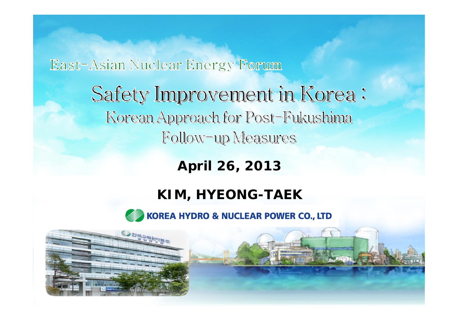### East-Asian Nuclear Energy Forum

Safety Improvement in Korea: Korean Approach for Post-Fukushima Follow-up Measures

**April 26, 2013**

### **KIM, HYEONG-TAEK**

KOREA HYDRO & NUCLEAR POWER CO., LTD

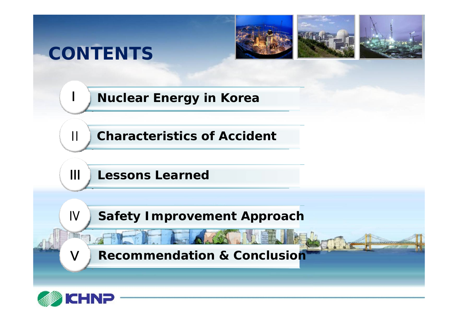## **CONTENTS**





Libraries of



**Nuclear Energy in Korea**

**Characteristics of Accident**

**III** Lessons Learned

**Safety Improvement Approach**

**Recommendation & Conclusion**



 $\prod$ 

Ⅲ

Ⅳ

Ⅴ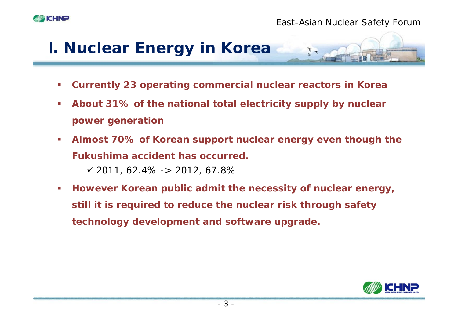



- $\mathcal{C}$ **Currently 23 operating commercial nuclear reactors in Korea**
- $\mathbb{R}^n$  **About 31% of the national total electricity supply by nuclear power generation**
- $\mathcal{L}_{\mathcal{A}}$  **Almost 70% of Korean support nuclear energy even though the Fukushima accident has occurred.** $\checkmark$  2011, 62.4% -> 2012, 67.89
- $\mathcal{L}_{\mathcal{A}}$  **However Korean public admit the necessity of nuclear energy, still it is required to reduce the nuclear risk through safety technology development and software upgrade.**

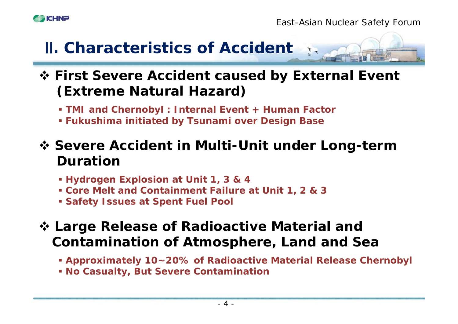



 **First Severe Accident caused by External Event (Extreme Natural Hazard)** 

**TMI and Chernobyl : Internal Event + Human Factor**

**Fukushima initiated by Tsunami over Design Base**

 **Severe Accident in Multi-Unit under Long-term Duration** 

- **Hydrogen Explosion at Unit 1, 3 & 4**
- **Core Melt and Containment Failure at Unit 1, 2 & 3**
- **Safety Issues at Spent Fuel Pool**
- **Large Release of Radioactive Material and Contamination of Atmosphere, Land and Sea** 
	- **Approximately 10~20% of Radioactive Material Release Chernobyl**
	- **No Casualty, But Severe Contamination**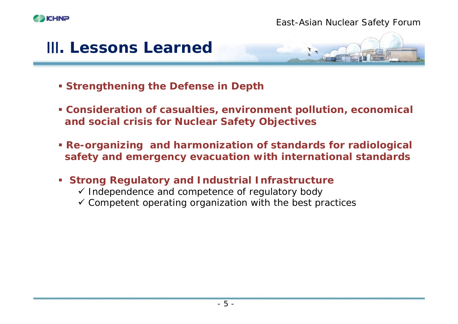





- **Strengthening the Defense in Depth**
- **Consideration of casualties, environment pollution, economical and social crisis for Nuclear Safety Objectives**
- **Re-organizing and harmonization of standards for radiological safety and emergency evacuation with international standards**
- **Strong Regulatory and Industrial Infrastructure**
	- $\checkmark$  Independence and competence of regulatory body
	- $\checkmark$  Competent operating organization with the best practices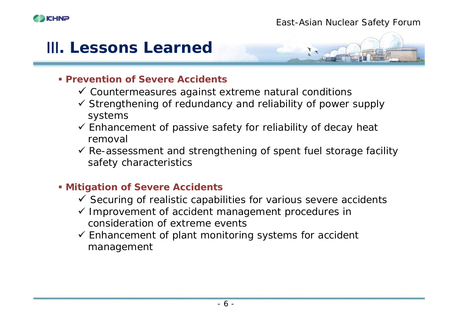



#### **Prevention of Severe Accidents**

- $\checkmark$  Countermeasures against extreme natural conditions
- $\checkmark$  Strengthening of redundancy and reliability of power supply systems
- $\checkmark$  Enhancement of passive safety for reliability of decay heat removal
- $\checkmark$  Re-assessment and strengthening of spent fuel storage facility safety characteristics

#### **Mitigation of Severe Accidents**

- $\checkmark$  Securing of realistic capabilities for various severe accidents
- $\checkmark$  Improvement of accident management procedures in consideration of extreme events
- $\checkmark$  Enhancement of plant monitoring systems for accident management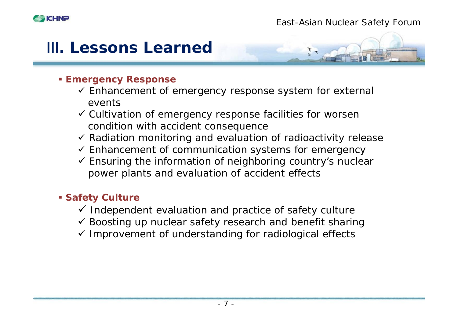

#### **Emergency Response**

- $\checkmark$  Enhancement of emergency response system for external events
- $\checkmark$  Cultivation of emergency response facilities for worsen condition with accident consequence
- $\checkmark$  Radiation monitoring and evaluation of radioactivity release
- $\checkmark$  Enhancement of communication systems for emergency
- $\checkmark$  Ensuring the information of neighboring country's nuclear power plants and evaluation of accident effects

#### **Safety Culture**

- $\checkmark$  Independent evaluation and practice of safety culture
- $\checkmark$  Boosting up nuclear safety research and benefit sharing
- $\checkmark$  Improvement of understanding for radiological effects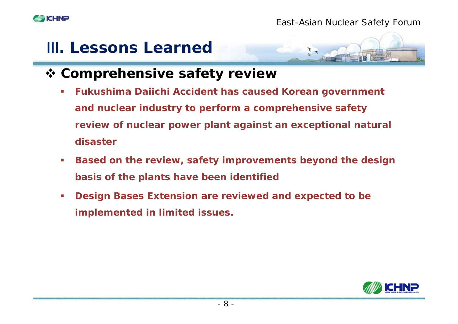



- **Comprehensive safety review** 
	- **Fukushima Daiichi Accident has caused Korean government and nuclear industry to perform a comprehensive safety review of nuclear power plant against an exceptional natural disaster**
	- **Based on the review, safety improvements beyond the design basis of the plants have been identified**
	- **Design Bases Extension are reviewed and expected to be implemented in limited issues.**

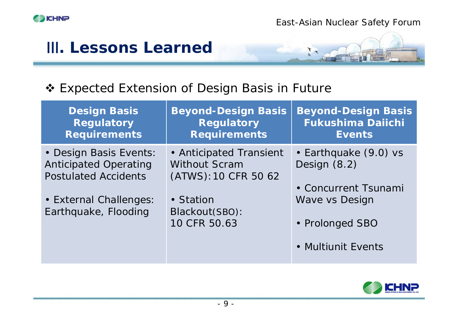

### ❖ Expected Extension of Design Basis in Future

| <b>Design Basis</b><br><b>Regulatory</b><br><b>Requirements</b>                       | <b>Beyond-Design Basis</b><br><b>Regulatory</b><br><b>Requirements</b>  | <b>Beyond-Design Basis</b><br><b>Fukushima Daiichi</b><br><b>Events</b> |
|---------------------------------------------------------------------------------------|-------------------------------------------------------------------------|-------------------------------------------------------------------------|
| • Design Basis Events:<br><b>Anticipated Operating</b><br><b>Postulated Accidents</b> | • Anticipated Transient<br><b>Without Scram</b><br>(ATWS): 10 CFR 50 62 | • Earthquake (9.0) vs<br>Design (8.2)                                   |
| • External Challenges:<br>Earthquake, Flooding                                        | • Station<br>Blackout(SBO):<br>10 CFR 50.63                             | • Concurrent Tsunami<br>Wave vs Design<br>• Prolonged SBO               |
|                                                                                       |                                                                         | • Multiunit Events                                                      |

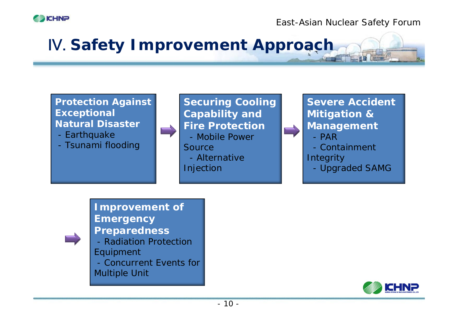

*East-Asian Nuclear Safety Forum*

## Ⅳ. **Safety Improvement Approach**

#### **Protection Against Exceptional Natural Disaster**

- Earthquake
- Tsunami flooding

#### **Securing Cooling Capability and Fire Protection** - Mobile Power **Source**

- Alternative
- Injection

**Severe AccidentMitigation & Management** - PAR

- 
- Containment
- **Integrity**
- Upgraded SAMG

**Improvement of Emergency Preparedness** - Radiation Protection Equipment - Concurrent Events for Multiple Unit

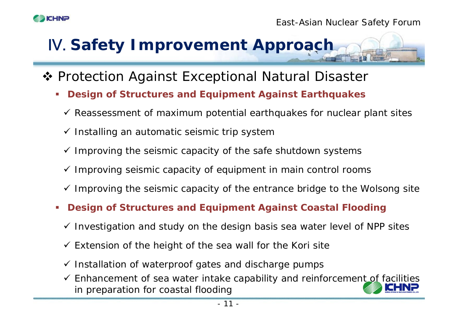

- ◆ Protection Against Exceptional Natural Disaster
	- Г **Design of Structures and Equipment Against Earthquakes**
		- $\checkmark$  Reassessment of maximum potential earthquakes for nuclear plant sites
		- $\checkmark$  Installing an automatic seismic trip systen
		- $\checkmark$  Improving the seismic capacity of the safe shutdown systems
		- $\checkmark$  Improving seismic capacity of equipment in main control rooms
		- $\checkmark$  Improving the seismic capacity of the entrance bridge to the Wolsong site
	- г **Design of Structures and Equipment Against Coastal Flooding**
		- $\checkmark$  Investigation and study on the design basis sea water level of NPP sites
		- $\checkmark$  Extension of the height of the sea wall for the Kori site
		- $\checkmark$  Installation of waterproof gates and discharge pumps
		- $\checkmark$  Enhancement of sea water intake capability and reinforcement of facilities in preparation for coastal flooding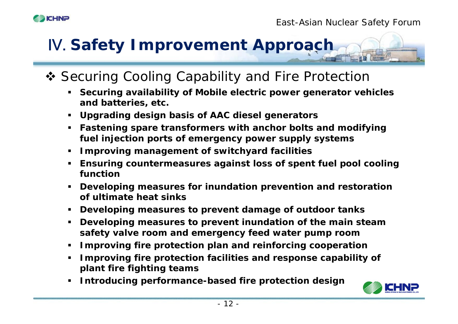- ◆ Securing Cooling Capability and Fire Protection
	- **Securing availability of Mobile electric power generator vehicles and batteries, etc.**
	- **Upgrading design basis of AAC diesel generators**
	- **Fastening spare transformers with anchor bolts and modifying fuel injection ports of emergency power supply systems**
	- **Improving management of switchyard facilities**
	- **Ensuring countermeasures against loss of spent fuel pool cooling function**
	- **Developing measures for inundation prevention and restoration of ultimate heat sinks**
	- **Developing measures to prevent damage of outdoor tanks**
	- **Developing measures to prevent inundation of the main steam safety valve room and emergency feed water pump room**
	- **Improving fire protection plan and reinforcing cooperation**
	- **Improving fire protection facilities and response capability of plant fire fighting teams**
	- **Introducing performance-based fire protection design**



**ICHN<sub>P</sub>**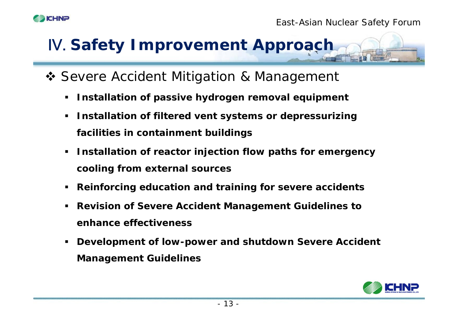

- ◆ Severe Accident Mitigation & Management
	- **Installation of passive hydrogen removal equipment**
	- $\blacksquare$  **Installation of filtered vent systems or depressurizing facilities in containment buildings**
	- **Installation of reactor injection flow paths for emergency cooling from external sources**
	- $\blacksquare$ **Reinforcing education and training for severe accidents**
	- **Revision of Severe Accident Management Guidelines to enhance effectiveness**
	- $\blacksquare$  **Development of low-power and shutdown Severe Accident Management Guidelines**

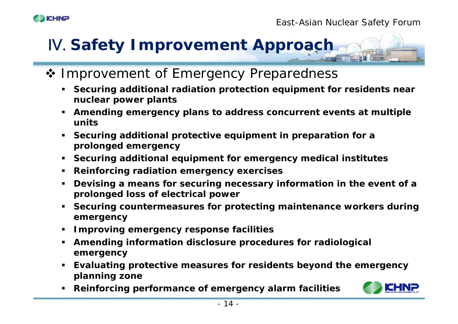#### *East-Asian Nuclear Safety Forum*

### ❖ Improvement of Emergency Preparedness

- **Securing additional radiation protection equipment for residents near nuclear power plants**
- **Amending emergency plans to address concurrent events at multiple units**
- **Securing additional protective equipment in preparation for a prolonged emergency**
- **Securing additional equipment for emergency medical institutes**
- **Reinforcing radiation emergency exercises**
- **Devising a means for securing necessary information in the event of a prolonged loss of electrical power**
- **Securing countermeasures for protecting maintenance workers during emergency**
- **Improving emergency response facilities**
- **Amending information disclosure procedures for radiological emergency**
- **Evaluating protective measures for residents beyond the emergency planning zone**
- **Reinforcing performance of emergency alarm facilities**



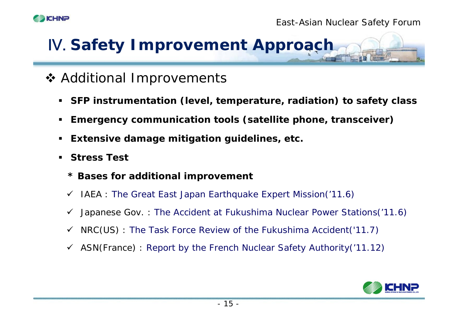



### **❖ Additional Improvements**

- **SFP instrumentation (level, temperature, radiation) to safety class**
- $\blacksquare$ **Emergency communication tools (satellite phone, transceiver)**
- **Extensive damage mitigation guidelines, etc.**
- $\blacksquare$  **Stress Test** 
	- **\* Bases for additional improvement**
	- $\checkmark$  IAEA : The Great East Japan Earthquake Expert Mission('11.6)
	- $\checkmark$  Japanese Gov.: The Accident at Fukushima Nuclear Power Stations('11.6)
	- $\checkmark$  NRC(US) : The Task Force Review of the Fukushima Accident('11.7)
	- $\checkmark$  ASN(France) : Report by the French Nuclear Safety Authority('11.12)

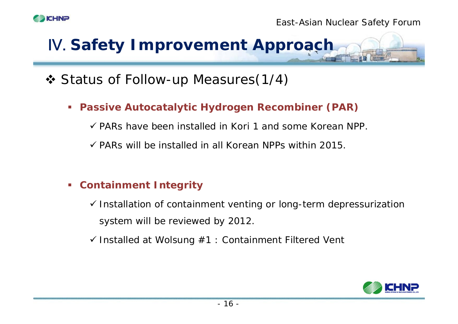

### Status of Follow-up Measures(1/4)

**Passive Autocatalytic Hydrogen Recombiner (PAR)**

 $\checkmark$  PARs have been installed in Kori 1 and some Korean NPP.

 $\checkmark$  PARs will be installed in all Korean NPPs within 2015.

#### **Containment Integrity**

 $\checkmark$  Installation of containment venting or long-term depressurization system will be reviewed by 2012.

 $\checkmark$  Installed at Wolsung  $\#1$  : Containment Filtered Vent

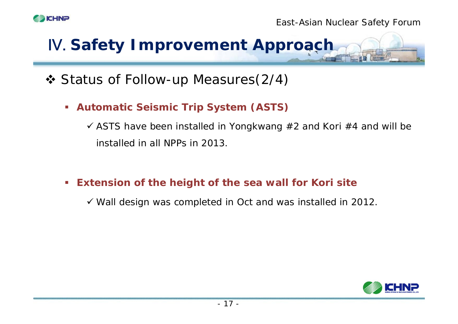

### Status of Follow-up Measures(2/4)

**Automatic Seismic Trip System (ASTS)**

 $\checkmark$  ASTS have been installed in Yongkwang #2 and Kori #4 and will be installed in all NPPs in 2013.

 $\mathcal{C}$ **Extension of the height of the sea wall for Kori site**

 $\checkmark$  Wall design was completed in Oct and was installed in 2012.

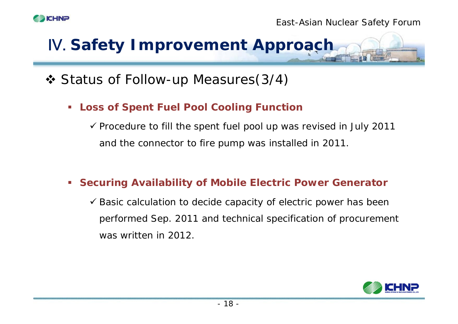

### Status of Follow-up Measures(3/4)

**Loss of Spent Fuel Pool Cooling Function**

 $\checkmark$  Procedure to fill the spent fuel pool up was revised in July 2011 and the connector to fire pump was installed in 2011.

#### **Securing Availability of Mobile Electric Power Generator**

 $\checkmark$  Basic calculation to decide capacity of electric power has been performed Sep. 2011 and technical specification of procurement was written in 2012.

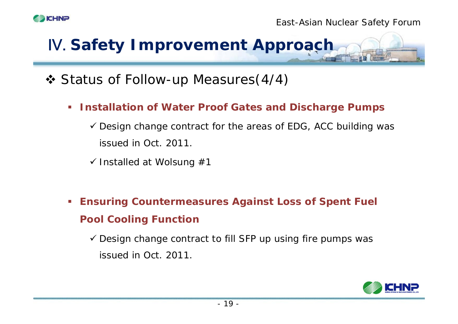

### Status of Follow-up Measures(4/4)

- **Installation of Water Proof Gates and Discharge Pumps**
	- $\checkmark$  Design change contract for the areas of EDG, ACC building was issued in Oct. 2011.
	- $\checkmark$  Installed at Wolsung #1
- **Ensuring Countermeasures Against Loss of Spent Fuel Pool Cooling Function**

 $\checkmark$  Design change contract to fill SFP up using fire pumps was issued in Oct. 2011.

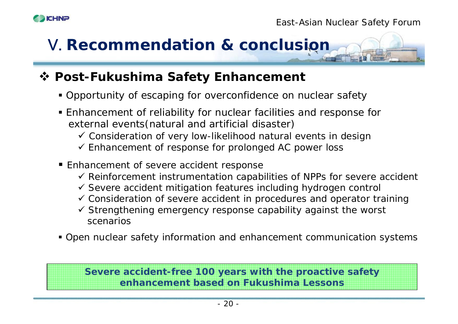



#### **Post-Fukushima Safety Enhancement**

- Opportunity of escaping for overconfidence on nuclear safety
- Enhancement of reliability for nuclear facilities and response for external events(natural and artificial disaster)
	- $\checkmark$  Consideration of very low-likelihood natural events in design
	- $\checkmark$  Enhancement of response for prolonged AC power loss
- **Enhancement of severe accident response** 
	- $\checkmark$  Reinforcement instrumentation capabilities of NPPs for severe accident
	- $\checkmark$  Severe accident mitigation features including hydrogen control
	- $\checkmark$  Consideration of severe accident in procedures and operator training
	- $\checkmark$  Strengthening emergency response capability against the worst scenarios
- Open nuclear safety information and enhancement communication systems

#### **Severe accident-free 100 years with the proactive safety enhancement based on Fukushima Lessons**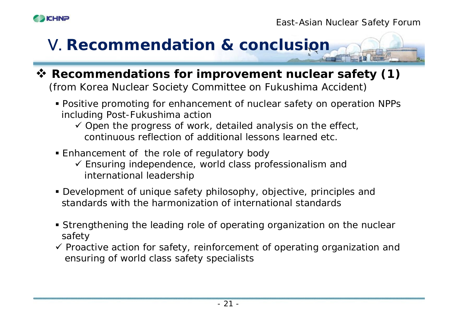



- **Recommendations for improvement nuclear safety (1)**  (from Korea Nuclear Society Committee on Fukushima Accident)
	- Positive promoting for enhancement of nuclear safety on operation NPPs including Post-Fukushima action
		- $\checkmark$  Open the progress of work, detailed analysis on the effect, continuous reflection of additional lessons learned etc.
	- Enhancement of the role of regulatory body
		- $\checkmark$  Ensuring independence, world class professionalism and international leadership
	- Development of unique safety philosophy, objective, principles and standards with the harmonization of international standards
	- Strengthening the leading role of operating organization on the nuclear safety
	- $\checkmark$  Proactive action for safety, reinforcement of operating organization and ensuring of world class safety specialists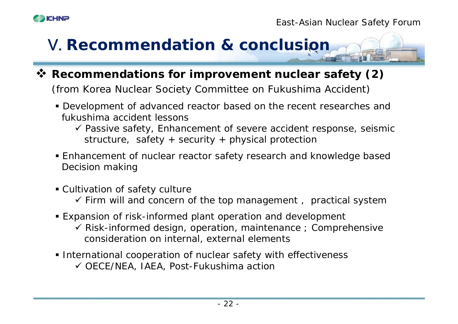



**Recommendations for improvement nuclear safety (2)** 

(from Korea Nuclear Society Committee on Fukushima Accident)

- Development of advanced reactor based on the recent researches and fukushima accident lessons
	- $\checkmark$  Passive safety, Enhancement of severe accident response, seismic structure, safety + security + physical protection
- Enhancement of nuclear reactor safety research and knowledge based Decision making
- Cultivation of safety culture
	- $\checkmark$  Firm will and concern of the top management, practical systen
- Expansion of risk-informed plant operation and development
	- $\checkmark$  Risk-informed design, operation, maintenance ; Comprehensive consideration on internal, external elements
- **International cooperation of nuclear safety with effectiveness** 9 OECE/NEA, IAEA, Post-Fukushima action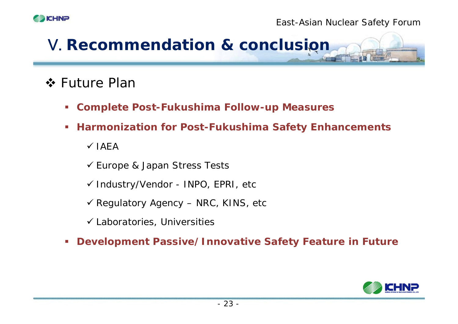



### ❖ Future Plar

- **Complete Post-Fukushima Follow-up Measures**
- П **Harmonization for Post-Fukushima Safety Enhancements**

 $\checkmark$  IAEA

9 Europe & Japan Stress Tests

9 Industry/Vendor - INPO, EPRI, etc

 $\checkmark$  Regulatory Agency – NRC, KINS, etc

 $\checkmark$  Laboratories, Universities

 $\mathcal{C}$ **Development Passive/Innovative Safety Feature in Future**